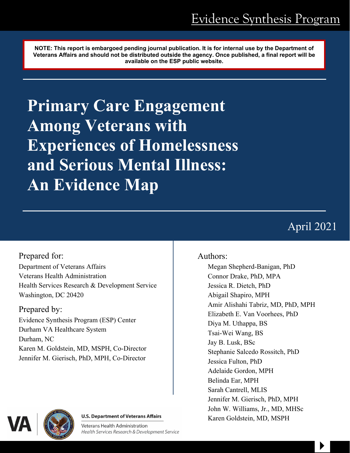**NOTE: This report is embargoed pending journal publication. It is for internal use by the Department of Veterans Affairs and should not be distributed outside the agency. Once published, a final report will be available on the ESP public website.**

**Primary Care Engagement Among Veterans with Experiences of Homelessness and Serious Mental Illness: An Evidence Map** 

# April 2021

 $\begin{array}{c} \hline \end{array}$ 

Prepared for: Department of Veterans Affairs Veterans Health Administration Health Services Research & Development Service Washington, DC 20420

## Prepared by:

Evidence Synthesis Program (ESP) Center Durham VA Healthcare System Durham, NC Karen M. Goldstein, MD, MSPH, Co-Director Jennifer M. Gierisch, PhD, MPH, Co-Director

#### **U.S. Department of Veterans Affairs**

Veterans Health Administration Health Services Research & Development Service

### Authors:

Megan Shepherd-Banigan, PhD Connor Drake, PhD, MPA Jessica R. Dietch, PhD Abigail Shapiro, MPH Amir Alishahi Tabriz, MD, PhD, MPH Elizabeth E. Van Voorhees, PhD Diya M. Uthappa, BS Tsai-Wei Wang, BS Jay B. Lusk, BSc Stephanie Salcedo Rossitch, PhD Jessica Fulton, PhD Adelaide Gordon, MPH Belinda Ear, MPH Sarah Cantrell, MLIS Jennifer M. Gierisch, PhD, MPH John W. Williams, Jr., MD, MHSc Karen Goldstein, MD, MSPH

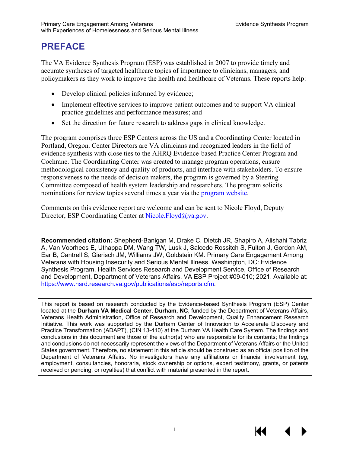# **PREFACE**

The VA Evidence Synthesis Program (ESP) was established in 2007 to provide timely and accurate syntheses of targeted healthcare topics of importance to clinicians, managers, and policymakers as they work to improve the health and healthcare of Veterans. These reports help:

- Develop clinical policies informed by evidence;
- Implement effective services to improve patient outcomes and to support VA clinical practice guidelines and performance measures; and
- Set the direction for future research to address gaps in clinical knowledge.

The program comprises three ESP Centers across the US and a Coordinating Center located in Portland, Oregon. Center Directors are VA clinicians and recognized leaders in the field of evidence synthesis with close ties to the AHRQ Evidence-based Practice Center Program and Cochrane. The Coordinating Center was created to manage program operations, ensure methodological consistency and quality of products, and interface with stakeholders. To ensure responsiveness to the needs of decision makers, the program is governed by a Steering Committee composed of health system leadership and researchers. The program solicits nominations for review topics several times a year via the [program website.](https://www.hsrd.research.va.gov/publications/esp/TopicNomination.cfm)

Comments on this evidence report are welcome and can be sent to Nicole Floyd, Deputy Director, ESP Coordinating Center at [Nicole.Floyd@va.gov.](mailto:Nicole.Floyd@va.gov)

**Recommended citation:** Shepherd-Banigan M, Drake C, Dietch JR, Shapiro A, Alishahi Tabriz A, Van Voorhees E, Uthappa DM, Wang TW, Lusk J, Salcedo Rossitch S, Fulton J, Gordon AM, Ear B, Cantrell S, Gierisch JM, Williams JW, Goldstein KM. Primary Care Engagement Among Veterans with Housing Insecurity and Serious Mental Illness. Washington, DC: Evidence Synthesis Program, Health Services Research and Development Service, Office of Research and Development, Department of Veterans Affairs. VA ESP Project #09-010; 2021. Available at: [https://www.hsrd.research.va.gov/publications/esp/reports.cfm.](https://www.hsrd.research.va.gov/publications/esp/reports.cfm)

This report is based on research conducted by the Evidence-based Synthesis Program (ESP) Center located at the **Durham VA Medical Center, Durham, NC**, funded by the Department of Veterans Affairs, Veterans Health Administration, Office of Research and Development, Quality Enhancement Research Initiative. This work was supported by the Durham Center of Innovation to Accelerate Discovery and Practice Transformation (ADAPT), (CIN 13-410) at the Durham VA Health Care System. The findings and conclusions in this document are those of the author(s) who are responsible for its contents; the findings and conclusions do not necessarily represent the views of the Department of Veterans Affairs or the United States government. Therefore, no statement in this article should be construed as an official position of the Department of Veterans Affairs. No investigators have any affiliations or financial involvement (*eg*, employment, consultancies, honoraria, stock ownership or options, expert testimony, grants, or patents received or pending, or royalties) that conflict with material presented in the report.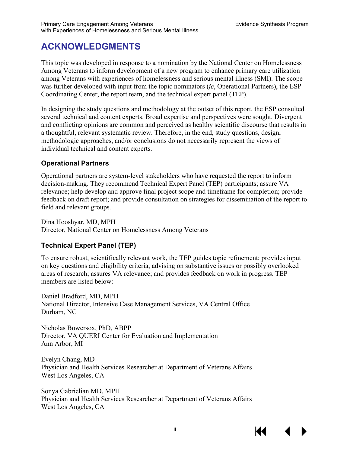# **ACKNOWLEDGMENTS**

This topic was developed in response to a nomination by the National Center on Homelessness Among Veterans to inform development of a new program to enhance primary care utilization among Veterans with experiences of homelessness and serious mental illness (SMI). The scope was further developed with input from the topic nominators (*ie*, Operational Partners), the ESP Coordinating Center, the report team, and the technical expert panel (TEP).

In designing the study questions and methodology at the outset of this report, the ESP consulted several technical and content experts. Broad expertise and perspectives were sought. Divergent and conflicting opinions are common and perceived as healthy scientific discourse that results in a thoughtful, relevant systematic review. Therefore, in the end, study questions, design, methodologic approaches, and/or conclusions do not necessarily represent the views of individual technical and content experts.

#### **Operational Partners**

Operational partners are system-level stakeholders who have requested the report to inform decision-making. They recommend Technical Expert Panel (TEP) participants; assure VA relevance; help develop and approve final project scope and timeframe for completion; provide feedback on draft report; and provide consultation on strategies for dissemination of the report to field and relevant groups.

Dina Hooshyar, MD, MPH Director, National Center on Homelessness Among Veterans

#### **Technical Expert Panel (TEP)**

To ensure robust, scientifically relevant work, the TEP guides topic refinement; provides input on key questions and eligibility criteria, advising on substantive issues or possibly overlooked areas of research; assures VA relevance; and provides feedback on work in progress. TEP members are listed below:

Daniel Bradford, MD, MPH National Director, Intensive Case Management Services, VA Central Office Durham, NC

Nicholas Bowersox, PhD, ABPP Director, VA QUERI Center for Evaluation and Implementation Ann Arbor, MI

Evelyn Chang, MD Physician and Health Services Researcher at Department of Veterans Affairs West Los Angeles, CA

Sonya Gabrielian MD, MPH Physician and Health Services Researcher at Department of Veterans Affairs West Los Angeles, CA

К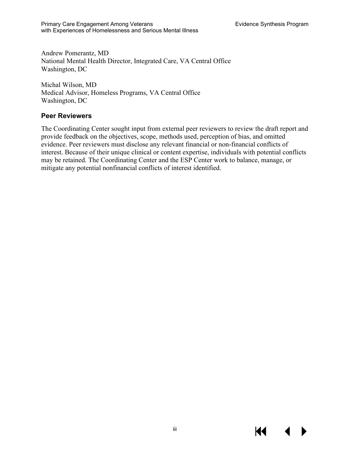Andrew Pomerantz, MD National Mental Health Director, Integrated Care, VA Central Office Washington, DC

Michal Wilson, MD Medical Advisor, Homeless Programs, VA Central Office Washington, DC

#### **Peer Reviewers**

The Coordinating Center sought input from external peer reviewers to review the draft report and provide feedback on the objectives, scope, methods used, perception of bias, and omitted evidence. Peer reviewers must disclose any relevant financial or non-financial conflicts of interest. Because of their unique clinical or content expertise, individuals with potential conflicts may be retained. The Coordinating Center and the ESP Center work to balance, manage, or mitigate any potential nonfinancial conflicts of interest identified.

KI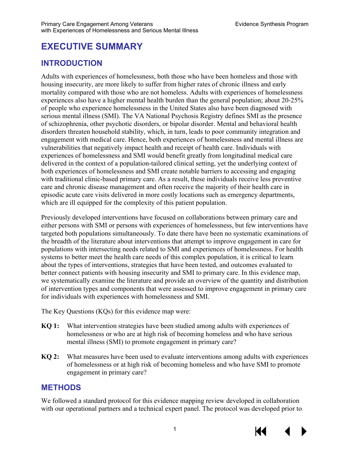# **EXECUTIVE SUMMARY**

### **INTRODUCTION**

Adults with experiences of homelessness, both those who have been homeless and those with housing insecurity, are more likely to suffer from higher rates of chronic illness and early mortality compared with those who are not homeless. Adults with experiences of homelessness experiences also have a higher mental health burden than the general population; about 20-25% of people who experience homelessness in the United States also have been diagnosed with serious mental illness (SMI). The VA National Psychosis Registry defines SMI as the presence of schizophrenia, other psychotic disorders, or bipolar disorder. Mental and behavioral health disorders threaten household stability, which, in turn, leads to poor community integration and engagement with medical care. Hence, both experiences of homelessness and mental illness are vulnerabilities that negatively impact health and receipt of health care. Individuals with experiences of homelessness and SMI would benefit greatly from longitudinal medical care delivered in the context of a population-tailored clinical setting, yet the underlying context of both experiences of homelessness and SMI create notable barriers to accessing and engaging with traditional clinic-based primary care. As a result, these individuals receive less preventive care and chronic disease management and often receive the majority of their health care in episodic acute care visits delivered in more costly locations such as emergency departments, which are ill equipped for the complexity of this patient population.

Previously developed interventions have focused on collaborations between primary care and either persons with SMI or persons with experiences of homelessness, but few interventions have targeted both populations simultaneously. To date there have been no systematic examinations of the breadth of the literature about interventions that attempt to improve engagement in care for populations with intersecting needs related to SMI and experiences of homelessness. For health systems to better meet the health care needs of this complex population, it is critical to learn about the types of interventions, strategies that have been tested, and outcomes evaluated to better connect patients with housing insecurity and SMI to primary care. In this evidence map, we systematically examine the literature and provide an overview of the quantity and distribution of intervention types and components that were assessed to improve engagement in primary care for individuals with experiences with homelessness and SMI.

The Key Questions (KQs) for this evidence map were:

- **KQ 1:** What intervention strategies have been studied among adults with experiences of homelessness or who are at high risk of becoming homeless and who have serious mental illness (SMI) to promote engagement in primary care?
- **KQ 2:** What measures have been used to evaluate interventions among adults with experiences of homelessness or at high risk of becoming homeless and who have SMI to promote engagement in primary care?

#### **METHODS**

We followed a standard protocol for this evidence mapping review developed in collaboration with our operational partners and a technical expert panel. The protocol was developed prior to

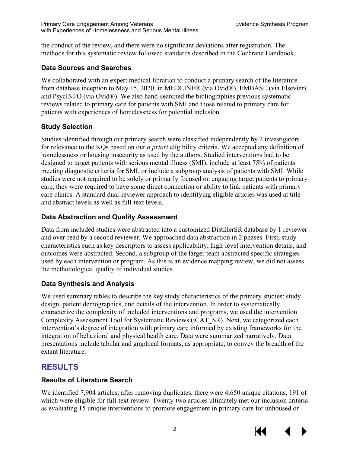the conduct of the review, and there were no significant deviations after registration. The methods for this systematic review followed standards described in the Cochrane Handbook.

#### **Data Sources and Searches**

We collaborated with an expert medical librarian to conduct a primary search of the literature from database inception to May 15, 2020, in MEDLINE® (via Ovid®), EMBASE (via Elsevier), and PsycINFO (via Ovid®). We also hand-searched the bibliographies previous systematic reviews related to primary care for patients with SMI and those related to primary care for patients with experiences of homelessness for potential inclusion.

#### **Study Selection**

Studies identified through our primary search were classified independently by 2 investigators for relevance to the KQs based on our *a priori* eligibility criteria. We accepted any definition of homelessness or housing insecurity as used by the authors. Studied interventions had to be designed to target patients with serious mental illness (SMI), include at least 75% of patients meeting diagnostic criteria for SMI, or include a subgroup analysis of patients with SMI. While studies were not required to be solely or primarily focused on engaging target patients to primary care, they were required to have some direct connection or ability to link patients with primary care clinics. A standard dual-reviewer approach to identifying eligible articles was used at title and abstract levels as well as full-text levels.

#### **Data Abstraction and Quality Assessment**

Data from included studies were abstracted into a customized DistillerSR database by 1 reviewer and over-read by a second reviewer. We approached data abstraction in 2 phases. First, study characteristics such as key descriptors to assess applicability, high-level intervention details, and outcomes were abstracted. Second, a subgroup of the larger team abstracted specific strategies used by each intervention or program. As this is an evidence mapping review, we did not assess the methodological quality of individual studies.

#### **Data Synthesis and Analysis**

We used summary tables to describe the key study characteristics of the primary studies: study design, patient demographics, and details of the intervention. In order to systematically characterize the complexity of included interventions and programs, we used the intervention Complexity Assessment Tool for Systematic Reviews (iCAT\_SR). Next, we categorized each intervention's degree of integration with primary care informed by existing frameworks for the integration of behavioral and physical health care. Data were summarized narratively. Data presentations include tabular and graphical formats, as appropriate, to convey the breadth of the extant literature.

#### **RESULTS**

#### **Results of Literature Search**

We identified 7,904 articles; after removing duplicates, there were 4,650 unique citations, 191 of which were eligible for full-text review. Twenty-two articles ultimately met our inclusion criteria as evaluating 15 unique interventions to promote engagement in primary care for unhoused or

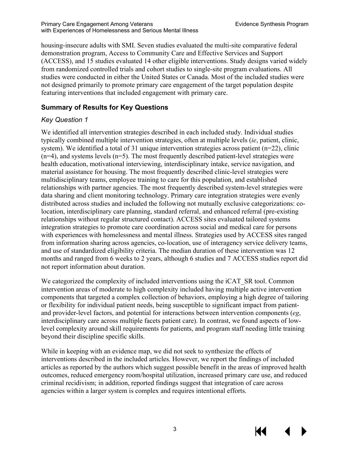housing-insecure adults with SMI. Seven studies evaluated the multi-site comparative federal demonstration program, Access to Community Care and Effective Services and Support (ACCESS), and 15 studies evaluated 14 other eligible interventions. Study designs varied widely from randomized controlled trials and cohort studies to single-site program evaluations. All studies were conducted in either the United States or Canada. Most of the included studies were not designed primarily to promote primary care engagement of the target population despite featuring interventions that included engagement with primary care.

#### **Summary of Results for Key Questions**

#### *Key Question 1*

We identified all intervention strategies described in each included study. Individual studies typically combined multiple intervention strategies, often at multiple levels (*ie*, patient, clinic, system). We identified a total of 31 unique intervention strategies across patient ( $n=22$ ), clinic  $(n=4)$ , and systems levels  $(n=5)$ . The most frequently described patient-level strategies were health education, motivational interviewing, interdisciplinary intake, service navigation, and material assistance for housing. The most frequently described clinic-level strategies were multidisciplinary teams, employee training to care for this population, and established relationships with partner agencies. The most frequently described system-level strategies were data sharing and client monitoring technology. Primary care integration strategies were evenly distributed across studies and included the following not mutually exclusive categorizations: colocation, interdisciplinary care planning, standard referral, and enhanced referral (pre-existing relationships without regular structured contact). ACCESS sites evaluated tailored systems integration strategies to promote care coordination across social and medical care for persons with experiences with homelessness and mental illness. Strategies used by ACCESS sites ranged from information sharing across agencies, co-location, use of interagency service delivery teams, and use of standardized eligibility criteria. The median duration of these intervention was 12 months and ranged from 6 weeks to 2 years, although 6 studies and 7 ACCESS studies report did not report information about duration.

We categorized the complexity of included interventions using the iCAT SR tool. Common intervention areas of moderate to high complexity included having multiple active intervention components that targeted a complex collection of behaviors, employing a high degree of tailoring or flexibility for individual patient needs, being susceptible to significant impact from patientand provider-level factors, and potential for interactions between intervention components (*eg*, interdisciplinary care across multiple facets patient care). In contrast, we found aspects of lowlevel complexity around skill requirements for patients, and program staff needing little training beyond their discipline specific skills.

While in keeping with an evidence map, we did not seek to synthesize the effects of interventions described in the included articles. However, we report the findings of included articles as reported by the authors which suggest possible benefit in the areas of improved health outcomes, reduced emergency room/hospital utilization, increased primary care use, and reduced criminal recidivism; in addition, reported findings suggest that integration of care across agencies within a larger system is complex and requires intentional efforts.

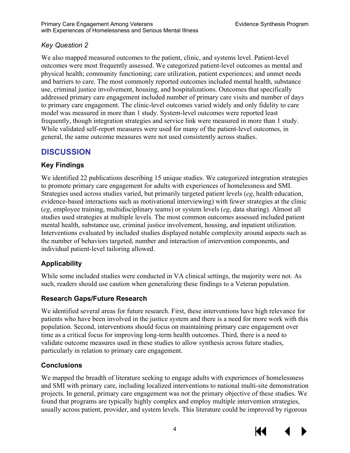#### *Key Question 2*

We also mapped measured outcomes to the patient, clinic, and systems level. Patient-level outcomes were most frequently assessed. We categorized patient-level outcomes as mental and physical health; community functioning; care utilization, patient experiences; and unmet needs and barriers to care. The most commonly reported outcomes included mental health, substance use, criminal justice involvement, housing, and hospitalizations. Outcomes that specifically addressed primary care engagement included number of primary care visits and number of days to primary care engagement. The clinic-level outcomes varied widely and only fidelity to care model was measured in more than 1 study. System-level outcomes were reported least frequently, though integration strategies and service link were measured in more than 1 study. While validated self-report measures were used for many of the patient-level outcomes, in general, the same outcome measures were not used consistently across studies.

### **DISCUSSION**

#### **Key Findings**

We identified 22 publications describing 15 unique studies. We categorized integration strategies to promote primary care engagement for adults with experiences of homelessness and SMI. Strategies used across studies varied, but primarily targeted patient levels (*eg*, health education, evidence-based interactions such as motivational interviewing) with fewer strategies at the clinic (*eg*, employee training, multidisciplinary teams) or system levels (*eg*, data sharing). Almost all studies used strategies at multiple levels. The most common outcomes assessed included patient mental health, substance use, criminal justice involvement, housing, and inpatient utilization. Interventions evaluated by included studies displayed notable complexity around aspects such as the number of behaviors targeted, number and interaction of intervention components, and individual patient-level tailoring allowed.

#### **Applicability**

While some included studies were conducted in VA clinical settings, the majority were not. As such, readers should use caution when generalizing these findings to a Veteran population.

#### **Research Gaps/Future Research**

We identified several areas for future research. First, these interventions have high relevance for patients who have been involved in the justice system and there is a need for more work with this population. Second, interventions should focus on maintaining primary care engagement over time as a critical focus for improving long-term health outcomes. Third, there is a need to validate outcome measures used in these studies to allow synthesis across future studies, particularly in relation to primary care engagement.

#### **Conclusions**

We mapped the breadth of literature seeking to engage adults with experiences of homelessness and SMI with primary care, including localized interventions to national multi-site demonstration projects. In general, primary care engagement was not the primary objective of these studies. We found that programs are typically highly complex and employ multiple intervention strategies, usually across patient, provider, and system levels. This literature could be improved by rigorous